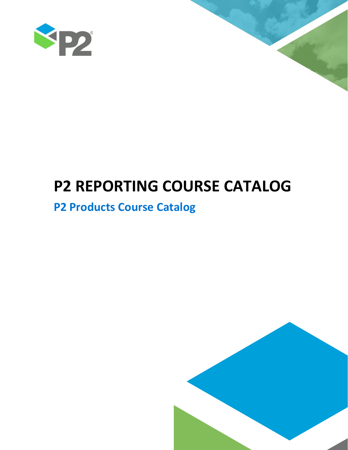



# **P2 REPORTING COURSE CATALOG**

# **P2 Products Course Catalog**

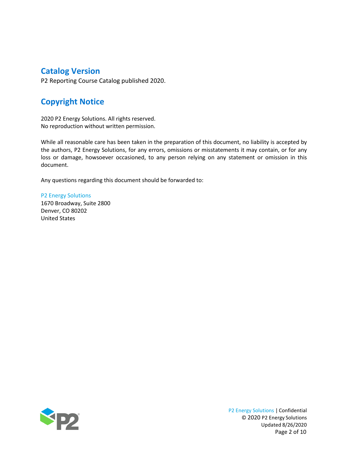# **Catalog Version**

P2 Reporting Course Catalog published 2020.

# **Copyright Notice**

2020 P2 Energy Solutions. All rights reserved. No reproduction without written permission.

While all reasonable care has been taken in the preparation of this document, no liability is accepted by the authors, P2 Energy Solutions, for any errors, omissions or misstatements it may contain, or for any loss or damage, howsoever occasioned, to any person relying on any statement or omission in this document.

Any questions regarding this document should be forwarded to:

P2 Energy Solutions 1670 Broadway, Suite 2800 Denver, CO 80202 United States

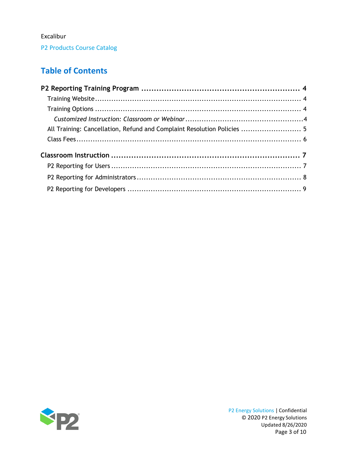P2 Products Course Catalog

# **Table of Contents**

| All Training: Cancellation, Refund and Complaint Resolution Policies  5 |  |
|-------------------------------------------------------------------------|--|
|                                                                         |  |
|                                                                         |  |
|                                                                         |  |
|                                                                         |  |
|                                                                         |  |

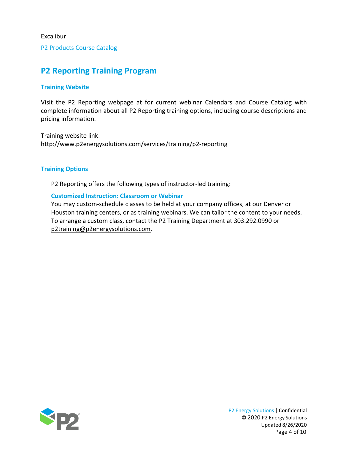P2 Products Course Catalog

# <span id="page-3-0"></span>**P2 Reporting Training Program**

#### <span id="page-3-1"></span>**Training Website**

Visit the P2 Reporting webpage at for current webinar Calendars and Course Catalog with complete information about all P2 Reporting training options, including course descriptions and pricing information.

Training website link: <http://www.p2energysolutions.com/services/training/p2-reporting>

#### <span id="page-3-2"></span>**Training Options**

P2 Reporting offers the following types of instructor-led training:

#### <span id="page-3-3"></span>**Customized Instruction: Classroom or Webinar**

You may custom-schedule classes to be held at your company offices, at our Denver or Houston training centers, or as training webinars. We can tailor the content to your needs. To arrange a custom class, contact the P2 Training Department at 303.292.0990 or [p2training@p2energysolutions.com.](mailto:p2training@p2energysolutions.com)

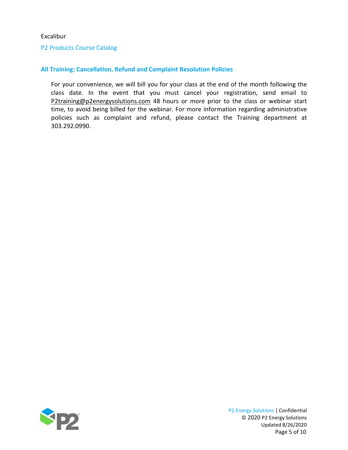#### P2 Products Course Catalog

#### <span id="page-4-0"></span>**All Training: Cancellation, Refund and Complaint Resolution Policies**

For your convenience, we will bill you for your class at the end of the month following the class date. In the event that you must cancel your registration, send email to [P2training@p2energysolutions.com](mailto:P2training@p2energysolutions.com) 48 hours or more prior to the class or webinar start time, to avoid being billed for the webinar. For more information regarding administrative policies such as complaint and refund, please contact the Training department at 303.292.0990.



P2 Energy Solutions | Confidential © 2020 P2 Energy Solutions Updated 8/26/2020 Page 5 of 10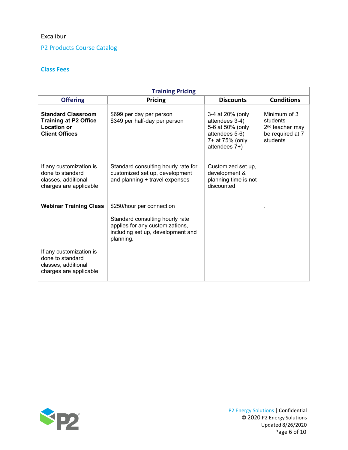#### P2 Products Course Catalog

#### **Class Fees**

| <b>Training Pricing</b>                                                                                  |                                                                                                                                                   |                                                                                                              |                                                                                         |  |
|----------------------------------------------------------------------------------------------------------|---------------------------------------------------------------------------------------------------------------------------------------------------|--------------------------------------------------------------------------------------------------------------|-----------------------------------------------------------------------------------------|--|
| <b>Offering</b>                                                                                          | <b>Pricing</b>                                                                                                                                    | <b>Discounts</b>                                                                                             | <b>Conditions</b>                                                                       |  |
| <b>Standard Classroom</b><br><b>Training at P2 Office</b><br><b>Location or</b><br><b>Client Offices</b> | \$699 per day per person<br>\$349 per half-day per person                                                                                         | 3-4 at 20% (only<br>attendees 3-4)<br>5-6 at 50% (only<br>attendees 5-6)<br>7+ at 75% (only<br>attendees 7+) | Minimum of 3<br>students<br>2 <sup>nd</sup> teacher may<br>be required at 7<br>students |  |
| If any customization is<br>done to standard<br>classes, additional<br>charges are applicable             | Standard consulting hourly rate for<br>customized set up, development<br>and planning + travel expenses                                           | Customized set up.<br>development &<br>planning time is not<br>discounted                                    |                                                                                         |  |
| <b>Webinar Training Class</b>                                                                            | \$250/hour per connection<br>Standard consulting hourly rate<br>applies for any customizations,<br>including set up, development and<br>planning. |                                                                                                              |                                                                                         |  |
| If any customization is<br>done to standard<br>classes, additional<br>charges are applicable             |                                                                                                                                                   |                                                                                                              |                                                                                         |  |

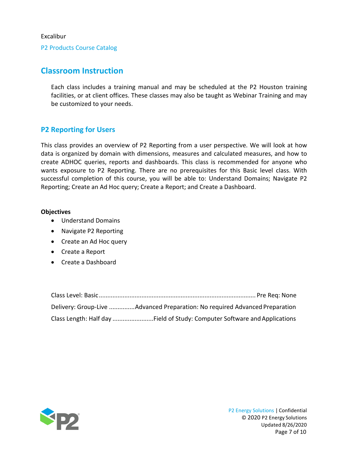P2 Products Course Catalog

# <span id="page-6-0"></span>**Classroom Instruction**

Each class includes a training manual and may be scheduled at the P2 Houston training facilities, or at client offices. These classes may also be taught as Webinar Training and may be customized to your needs.

#### <span id="page-6-1"></span>**P2 Reporting for Users**

This class provides an overview of P2 Reporting from a user perspective. We will look at how data is organized by domain with dimensions, measures and calculated measures, and how to create ADHOC queries, reports and dashboards. This class is recommended for anyone who wants exposure to P2 Reporting. There are no prerequisites for this Basic level class. With successful completion of this course, you will be able to: Understand Domains; Navigate P2 Reporting; Create an Ad Hoc query; Create a Report; and Create a Dashboard.

#### **Objectives**

- Understand Domains
- Navigate P2 Reporting
- Create an Ad Hoc query
- Create a Report
- Create a Dashboard

| Delivery: Group-Live Advanced Preparation: No required Advanced Preparation |
|-----------------------------------------------------------------------------|
| Class Length: Half day Field of Study: Computer Software and Applications   |

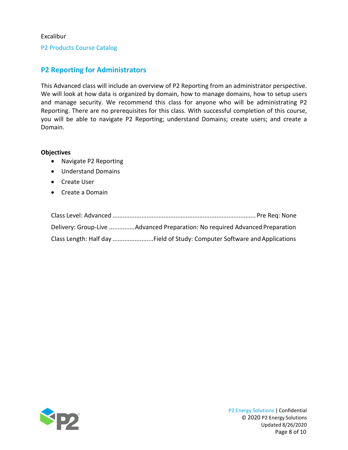P2 Products Course Catalog

### <span id="page-7-0"></span>**P2 Reporting for Administrators**

This Advanced class will include an overview of P2 Reporting from an administrator perspective. We will look at how data is organized by domain, how to manage domains, how to setup users and manage security. We recommend this class for anyone who will be administrating P2 Reporting. There are no prerequisites for this class. With successful completion of this course, you will be able to navigate P2 Reporting; understand Domains; create users; and create a Domain.

#### **Objectives**

- Navigate P2 Reporting
- Understand Domains
- Create User
- Create a Domain

| Delivery: Group-Live Advanced Preparation: No required Advanced Preparation |
|-----------------------------------------------------------------------------|
| Class Length: Half day Field of Study: Computer Software and Applications   |

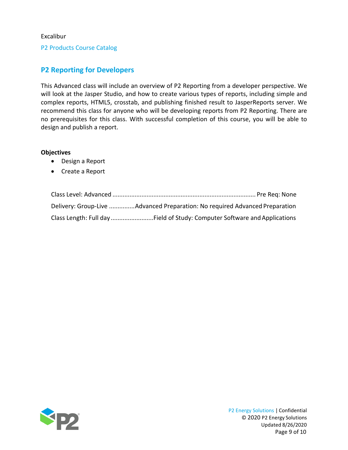P2 Products Course Catalog

#### <span id="page-8-0"></span>**P2 Reporting for Developers**

This Advanced class will include an overview of P2 Reporting from a developer perspective. We will look at the Jasper Studio, and how to create various types of reports, including simple and complex reports, HTML5, crosstab, and publishing finished result to JasperReports server. We recommend this class for anyone who will be developing reports from P2 Reporting. There are no prerequisites for this class. With successful completion of this course, you will be able to design and publish a report.

#### **Objectives**

- Design a Report
- Create a Report

| Delivery: Group-Live Advanced Preparation: No required Advanced Preparation |
|-----------------------------------------------------------------------------|
| Class Length: Full dayField of Study: Computer Software and Applications    |